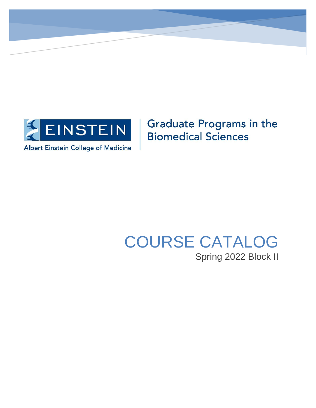

**Graduate Programs in the Biomedical Sciences** 

# COURSE CATALOG Spring 2022 Block II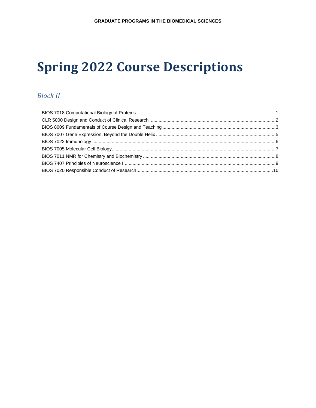# **Spring 2022 Course Descriptions**

# **Block II**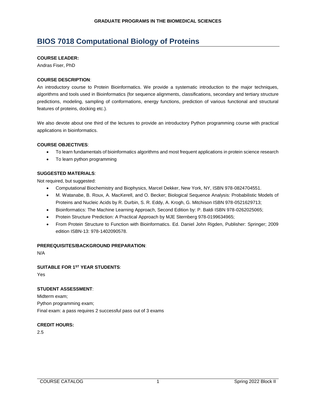# <span id="page-2-0"></span>**BIOS 7018 Computational Biology of Proteins**

#### **COURSE LEADER:**

Andras Fiser, PhD

# **COURSE DESCRIPTION**:

An introductory course to Protein Bioinformatics. We provide a systematic introduction to the major techniques, algorithms and tools used in Bioinformatics (for sequence alignments, classifications, secondary and tertiary structure predictions, modeling, sampling of conformations, energy functions, prediction of various functional and structural features of proteins, docking etc.).

We also devote about one third of the lectures to provide an introductory Python programming course with practical applications in bioinformatics.

# **COURSE OBJECTIVES**:

- To learn fundamentals of bioinformatics algorithms and most frequent applications in protein science research
- To learn python programming

# **SUGGESTED MATERIALS**:

Not required, but suggested:

- Computational Biochemistry and Biophysics, Marcel Dekker, New York, NY, ISBN 978-0824704551.
- M. Watanabe, B. Roux, A. MacKerell, and O. Becker; Biological Sequence Analysis: Probabilistic Models of Proteins and Nucleic Acids by R. Durbin, S. R. Eddy, A. Krogh, G. Mitchison ISBN 978-0521629713;
- Bioinformatics: The Machine Learning Approach, Second Edition by: P. Baldi ISBN 978-0262025065;
- Protein Structure Prediction: A Practical Approach by MJE Sternberg 978-0199634965;
- From Protein Structure to Function with Bioinformatics. Ed. Daniel John Rigden, Publisher: Springer; 2009 edition ISBN-13: 978-1402090578.

#### **PREREQUISITES/BACKGROUND PREPARATION**:

N/A

# **SUITABLE FOR 1ST YEAR STUDENTS**:

Yes

# **STUDENT ASSESSMENT**:

Midterm exam; Python programming exam; Final exam: a pass requires 2 successful pass out of 3 exams

#### **CREDIT HOURS:**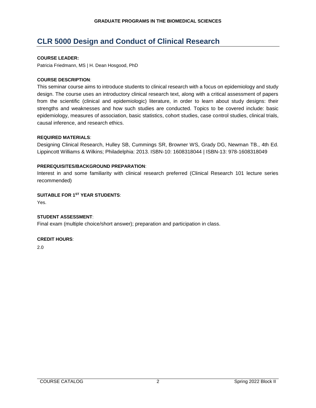# <span id="page-3-0"></span>**CLR 5000 Design and Conduct of Clinical Research**

# **COURSE LEADER:**

Patricia Friedmann, MS | H. Dean Hosgood, PhD

# **COURSE DESCRIPTION**:

This seminar course aims to introduce students to clinical research with a focus on epidemiology and study design. The course uses an introductory clinical research text, along with a critical assessment of papers from the scientific (clinical and epidemiologic) literature, in order to learn about study designs: their strengths and weaknesses and how such studies are conducted. Topics to be covered include: basic epidemiology, measures of association, basic statistics, cohort studies, case control studies, clinical trials, causal inference, and research ethics.

# **REQUIRED MATERIALS**:

Designing Clinical Research, Hulley SB, Cummings SR, Browner WS, Grady DG, Newman TB., 4th Ed. Lippincott Williams & Wilkins; Philadelphia: 2013. ISBN-10: 1608318044 | ISBN-13: 978-1608318049

# **PREREQUISITES/BACKGROUND PREPARATION**:

Interest in and some familiarity with clinical research preferred (Clinical Research 101 lecture series recommended)

# **SUITABLE FOR 1ST YEAR STUDENTS**:

Yes.

# **STUDENT ASSESSMENT**:

Final exam (multiple choice/short answer); preparation and participation in class.

#### **CREDIT HOURS**: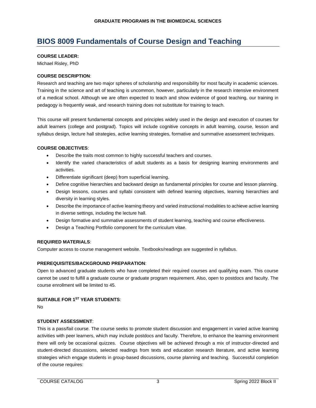# <span id="page-4-0"></span>**BIOS 8009 Fundamentals of Course Design and Teaching**

#### **COURSE LEADER:**

Michael Risley, PhD

# **COURSE DESCRIPTION**:

Research and teaching are two major spheres of scholarship and responsibility for most faculty in academic sciences. Training in the science and art of teaching is uncommon, however, particularly in the research intensive environment of a medical school. Although we are often expected to teach and show evidence of good teaching, our training in pedagogy is frequently weak, and research training does not substitute for training to teach.

This course will present fundamental concepts and principles widely used in the design and execution of courses for adult learners (college and postgrad). Topics will include cognitive concepts in adult learning, course, lesson and syllabus design, lecture hall strategies, active learning strategies, formative and summative assessment techniques.

# **COURSE OBJECTIVES**:

- Describe the traits most common to highly successful teachers and courses.
- Identify the varied characteristics of adult students as a basis for designing learning environments and activities.
- Differentiate significant (deep) from superficial learning.
- Define cognitive hierarchies and backward design as fundamental principles for course and lesson planning.
- Design lessons, courses and syllabi consistent with defined learning objectives, learning hierarchies and diversity in learning styles.
- Describe the importance of active learning theory and varied instructional modalities to achieve active learning in diverse settings, including the lecture hall.
- Design formative and summative assessments of student learning, teaching and course effectiveness.
- Design a Teaching Portfolio component for the curriculum vitae.

# **REQUIRED MATERIALS**:

Computer access to course management website. Textbooks/readings are suggested in syllabus.

# **PREREQUISITES/BACKGROUND PREPARATION**:

Open to advanced graduate students who have completed their required courses and qualifying exam. This course cannot be used to fulfill a graduate course or graduate program requirement. Also, open to postdocs and faculty. The course enrollment will be limited to 45.

#### **SUITABLE FOR 1ST YEAR STUDENTS**:

No

# **STUDENT ASSESSMENT**:

This is a pass/fail course. The course seeks to promote student discussion and engagement in varied active learning activities with peer learners, which may include postdocs and faculty. Therefore, to enhance the learning environment there will only be occasional quizzes. Course objectives will be achieved through a mix of instructor-directed and student-directed discussions, selected readings from texts and education research literature, and active learning strategies which engage students in group-based discussions, course planning and teaching. Successful completion of the course requires: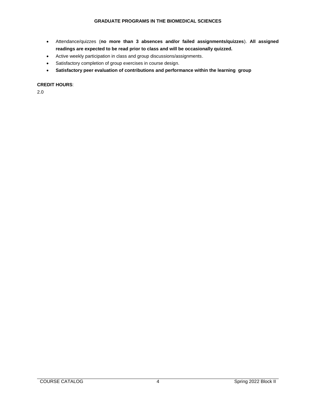- Attendance/quizzes (**no more than 3 absences and/or failed assignments/quizzes**). **All assigned readings are expected to be read prior to class and will be occasionally quizzed.**
- Active weekly participation in class and group discussions/assignments.
- Satisfactory completion of group exercises in course design.
- **Satisfactory peer evaluation of contributions and performance within the learning group**

#### **CREDIT HOURS**: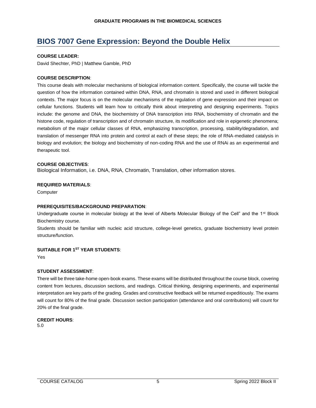# <span id="page-6-0"></span>**BIOS 7007 Gene Expression: Beyond the Double Helix**

#### **COURSE LEADER:**

David Shechter, PhD | Matthew Gamble, PhD

# **COURSE DESCRIPTION**:

This course deals with molecular mechanisms of biological information content. Specifically, the course will tackle the question of how the information contained within DNA, RNA, and chromatin is stored and used in different biological contexts. The major focus is on the molecular mechanisms of the regulation of gene expression and their impact on cellular functions. Students will learn how to critically think about interpreting and designing experiments. Topics include: the genome and DNA, the biochemistry of DNA transcription into RNA, biochemistry of chromatin and the histone code, regulation of transcription and of chromatin structure, its modification and role in epigenetic phenomena; metabolism of the major cellular classes of RNA, emphasizing transcription, processing, stability/degradation, and translation of messenger RNA into protein and control at each of these steps; the role of RNA-mediated catalysis in biology and evolution; the biology and biochemistry of non-coding RNA and the use of RNAi as an experimental and therapeutic tool.

# **COURSE OBJECTIVES**:

Biological Information, i.e. DNA, RNA, Chromatin, Translation, other information stores.

#### **REQUIRED MATERIALS**:

**Computer** 

#### **PREREQUISITES/BACKGROUND PREPARATION**:

Undergraduate course in molecular biology at the level of Alberts Molecular Biology of the Cell" and the 1<sup>st</sup> Block Biochemistry course.

Students should be familiar with nucleic acid structure, college-level genetics, graduate biochemistry level protein structure/function.

# **SUITABLE FOR 1ST YEAR STUDENTS**:

Yes

# **STUDENT ASSESSMENT**:

There will be three take-home open-book exams. These exams will be distributed throughout the course block, covering content from lectures, discussion sections, and readings. Critical thinking, designing experiments, and experimental interpretation are key parts of the grading. Grades and constructive feedback will be returned expeditiously. The exams will count for 80% of the final grade. Discussion section participation (attendance and oral contributions) will count for 20% of the final grade.

# **CREDIT HOURS**: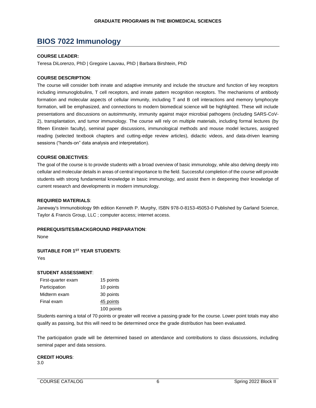# <span id="page-7-0"></span>**BIOS 7022 Immunology**

#### **COURSE LEADER:**

Teresa DiLorenzo, PhD | Gregoire Lauvau, PhD | Barbara Birshtein, PhD

#### **COURSE DESCRIPTION**:

The course will consider both innate and adaptive immunity and include the structure and function of key receptors including immunoglobulins, T cell receptors, and innate pattern recognition receptors. The mechanisms of antibody formation and molecular aspects of cellular immunity, including T and B cell interactions and memory lymphocyte formation, will be emphasized, and connections to modern biomedical science will be highlighted. These will include presentations and discussions on autoimmunity, immunity against major microbial pathogens (including SARS-CoV-2), transplantation, and tumor immunology. The course will rely on multiple materials, including formal lectures (by fifteen Einstein faculty), seminal paper discussions, immunological methods and mouse model lectures, assigned reading (selected textbook chapters and cutting-edge review articles), didactic videos, and data-driven learning sessions ("hands-on" data analysis and interpretation).

#### **COURSE OBJECTIVES**:

The goal of the course is to provide students with a broad overview of basic immunology, while also delving deeply into cellular and molecular details in areas of central importance to the field. Successful completion of the course will provide students with strong fundamental knowledge in basic immunology, and assist them in deepening their knowledge of current research and developments in modern immunology.

#### **REQUIRED MATERIALS**:

Janeway's Immunobiology 9th edition Kenneth P. Murphy, ISBN 978-0-8153-45053-0 Published by Garland Science, Taylor & Francis Group, LLC ; computer access; internet access.

#### **PREREQUISITES/BACKGROUND PREPARATION**:

None

#### **SUITABLE FOR 1ST YEAR STUDENTS**:

Yes

#### **STUDENT ASSESSMENT**:

| First-quarter exam | 15 points  |
|--------------------|------------|
| Participation      | 10 points  |
| Midterm exam       | 30 points  |
| Final exam         | 45 points  |
|                    | 100 points |

Students earning a total of 70 points or greater will receive a passing grade for the course. Lower point totals may also qualify as passing, but this will need to be determined once the grade distribution has been evaluated.

The participation grade will be determined based on attendance and contributions to class discussions, including seminal paper and data sessions.

#### **CREDIT HOURS**: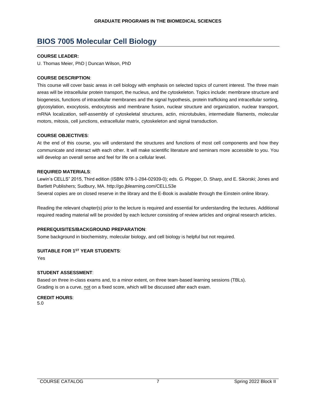# <span id="page-8-0"></span>**BIOS 7005 Molecular Cell Biology**

# **COURSE LEADER:**

U. Thomas Meier, PhD | Duncan Wilson, PhD

# **COURSE DESCRIPTION**:

This course will cover basic areas in cell biology with emphasis on selected topics of current interest. The three main areas will be intracellular protein transport, the nucleus, and the cytoskeleton. Topics include: membrane structure and biogenesis, functions of intracellular membranes and the signal hypothesis, protein trafficking and intracellular sorting, glycosylation, exocytosis, endocytosis and membrane fusion, nuclear structure and organization, nuclear transport, mRNA localization, self-assembly of cytoskeletal structures, actin, microtubules, intermediate filaments, molecular motors, mitosis, cell junctions, extracellular matrix, cytoskeleton and signal transduction.

# **COURSE OBJECTIVES**:

At the end of this course, you will understand the structures and functions of most cell components and how they communicate and interact with each other. It will make scientific literature and seminars more accessible to you. You will develop an overall sense and feel for life on a cellular level.

# **REQUIRED MATERIALS**:

Lewin's CELLS" 2015, Third edition (ISBN: 978-1-284-02939-0); eds. G. Plopper, D. Sharp, and E. Sikorski; Jones and Bartlett Publishers; Sudbury, MA. http://go.jblearning.com/CELLS3e Several copies are on closed reserve in the library and the E-Book is available through the Einstein online library.

Reading the relevant chapter(s) prior to the lecture is required and essential for understanding the lectures. Additional required reading material will be provided by each lecturer consisting of review articles and original research articles.

# **PREREQUISITES/BACKGROUND PREPARATION**:

Some background in biochemistry, molecular biology, and cell biology is helpful but not required.

# **SUITABLE FOR 1ST YEAR STUDENTS**:

Yes

# **STUDENT ASSESSMENT**:

Based on three in-class exams and, to a minor extent, on three team-based learning sessions (TBLs). Grading is on a curve, not on a fixed score, which will be discussed after each exam.

**CREDIT HOURS**: 5.0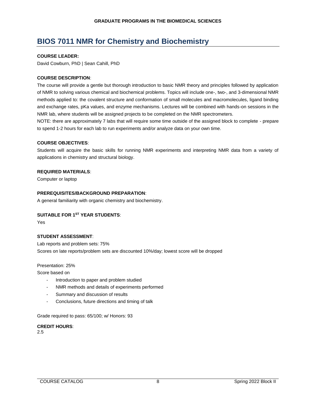# <span id="page-9-0"></span>**BIOS 7011 NMR for Chemistry and Biochemistry**

#### **COURSE LEADER:**

David Cowburn, PhD | Sean Cahill, PhD

# **COURSE DESCRIPTION**:

The course will provide a gentle but thorough introduction to basic NMR theory and principles followed by application of NMR to solving various chemical and biochemical problems. Topics will include one-, two-, and 3-dimensional NMR methods applied to: the covalent structure and conformation of small molecules and macromolecules, ligand binding and exchange rates, pKa values, and enzyme mechanisms. Lectures will be combined with hands-on sessions in the NMR lab, where students will be assigned projects to be completed on the NMR spectrometers.

NOTE: there are approximately 7 labs that will require some time outside of the assigned block to complete - prepare to spend 1-2 hours for each lab to run experiments and/or analyze data on your own time.

#### **COURSE OBJECTIVES**:

Students will acquire the basic skills for running NMR experiments and interpreting NMR data from a variety of applications in chemistry and structural biology.

#### **REQUIRED MATERIALS**:

Computer or laptop

#### **PREREQUISITES/BACKGROUND PREPARATION**:

A general familiarity with organic chemistry and biochemistry.

#### **SUITABLE FOR 1ST YEAR STUDENTS**:

Yes

#### **STUDENT ASSESSMENT**:

Lab reports and problem sets: 75% Scores on late reports/problem sets are discounted 10%/day; lowest score will be dropped

Presentation: 25%

Score based on

- Introduction to paper and problem studied
- NMR methods and details of experiments performed
- Summary and discussion of results
- Conclusions, future directions and timing of talk

Grade required to pass: 65/100; w/ Honors: 93

**CREDIT HOURS**: 2.5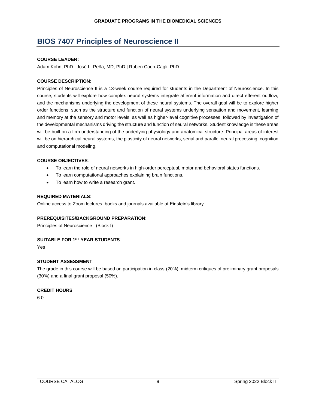# <span id="page-10-0"></span>**BIOS 7407 Principles of Neuroscience II**

# **COURSE LEADER:**

Adam Kohn, PhD | José L. Peña, MD, PhD | Ruben Coen-Cagli, PhD

# **COURSE DESCRIPTION**:

Principles of Neuroscience II is a 13-week course required for students in the Department of Neuroscience. In this course, students will explore how complex neural systems integrate afferent information and direct efferent outflow, and the mechanisms underlying the development of these neural systems. The overall goal will be to explore higher order functions, such as the structure and function of neural systems underlying sensation and movement, learning and memory at the sensory and motor levels, as well as higher-level cognitive processes, followed by investigation of the developmental mechanisms driving the structure and function of neural networks. Student knowledge in these areas will be built on a firm understanding of the underlying physiology and anatomical structure. Principal areas of interest will be on hierarchical neural systems, the plasticity of neural networks, serial and parallel neural processing, cognition and computational modeling.

#### **COURSE OBJECTIVES**:

- To learn the role of neural networks in high-order perceptual, motor and behavioral states functions.
- To learn computational approaches explaining brain functions.
- To learn how to write a research grant.

#### **REQUIRED MATERIALS**:

Online access to Zoom lectures, books and journals available at Einstein's library.

#### **PREREQUISITES/BACKGROUND PREPARATION**:

Principles of Neuroscience I (Block I)

# **SUITABLE FOR 1ST YEAR STUDENTS**:

Yes

# **STUDENT ASSESSMENT**:

The grade in this course will be based on participation in class (20%), midterm critiques of preliminary grant proposals (30%) and a final grant proposal (50%).

#### **CREDIT HOURS**: